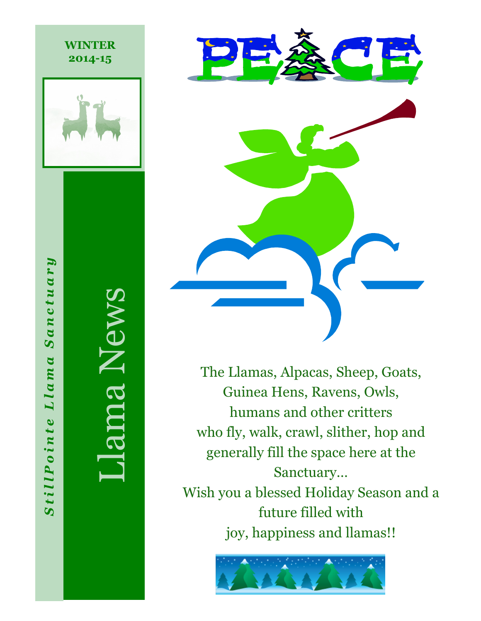

**WINTER 2014-15**

ma News

StillPointe Llama Sanctuary

Llama

StillPointe

Sanctuary



The Llamas, Alpacas, Sheep, Goats, Guinea Hens, Ravens, Owls, humans and other critters who fly, walk, crawl, slither, hop and generally fill the space here at the Sanctuary… Wish you a blessed Holiday Season and a future filled with

joy, happiness and llamas!!

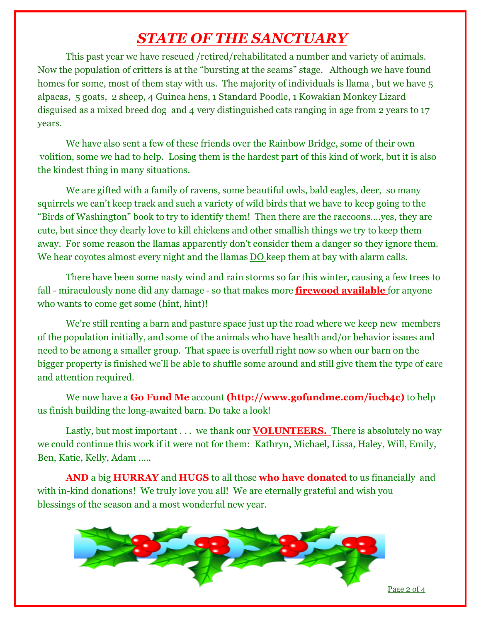## *STATE OF THE SANCTUARY*

This past year we have rescued /retired/rehabilitated a number and variety of animals. Now the population of critters is at the "bursting at the seams" stage. Although we have found homes for some, most of them stay with us. The majority of individuals is llama, but we have 5 alpacas, 5 goats, 2 sheep, 4 Guinea hens, 1 Standard Poodle, 1 Kowakian Monkey Lizard disguised as a mixed breed dog and 4 very distinguished cats ranging in age from 2 years to 17 years.

We have also sent a few of these friends over the Rainbow Bridge, some of their own volition, some we had to help. Losing them is the hardest part of this kind of work, but it is also the kindest thing in many situations.

We are gifted with a family of ravens, some beautiful owls, bald eagles, deer, so many squirrels we can't keep track and such a variety of wild birds that we have to keep going to the "Birds of Washington" book to try to identify them! Then there are the raccoons….yes, they are cute, but since they dearly love to kill chickens and other smallish things we try to keep them away. For some reason the llamas apparently don't consider them a danger so they ignore them. We hear coyotes almost every night and the llamas **DO** keep them at bay with alarm calls.

There have been some nasty wind and rain storms so far this winter, causing a few trees to fall - miraculously none did any damage - so that makes more **firewood available** for anyone who wants to come get some (hint, hint)!

We're still renting a barn and pasture space just up the road where we keep new members of the population initially, and some of the animals who have health and/or behavior issues and need to be among a smaller group. That space is overfull right now so when our barn on the bigger property is finished we'll be able to shuffle some around and still give them the type of care and attention required.

We now have a **Go Fund Me** account **(http://www.gofundme.com/iucb4c)** to help us finish building the long-awaited barn. Do take a look!

Lastly, but most important . . . we thank our **VOLUNTEERS.** There is absolutely no way we could continue this work if it were not for them: Kathryn, Michael, Lissa, Haley, Will, Emily, Ben, Katie, Kelly, Adam …..

**AND** a big **HURRAY** and **HUGS** to all those **who have donated** to us financially and with in-kind donations! We truly love you all! We are eternally grateful and wish you blessings of the season and a most wonderful new year.



Page 2 of 4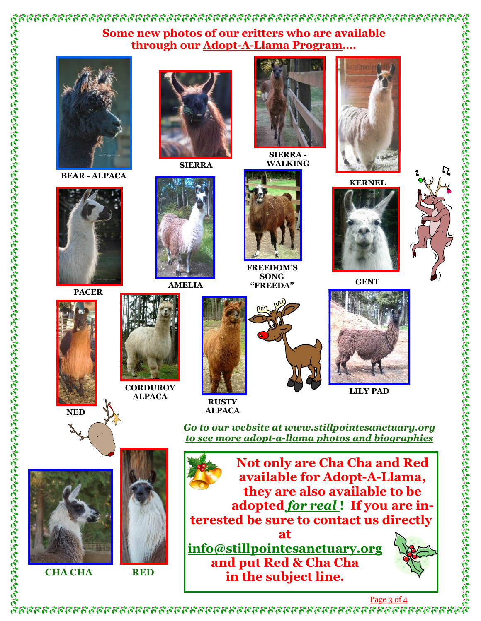## **Some new photos of our critters who are available through our Adopt-A-Llama Program….**



**BEAR - ALPACA**



**PACER**

**NED**

**CHA CHA** 



**ALPACA**



**SIERRA**

**RUSTY ALPACA**



**SIERRA - WALKING**

**FREEDOM'S SONG**



**KERNEL**



**"FREEDA" GENT**



*Go to our website at www.stillpointesanctuary.org to see more adopt-a-llama photos and biographies*

**Not only are Cha Cha and Red available for Adopt-A-Llama, they are also available to be adopted** *for real* **! If you are interested be sure to contact us directly at info@stillpointesanctuary.org and put Red & Cha Cha in the subject line. RED**



Page 3 of 4